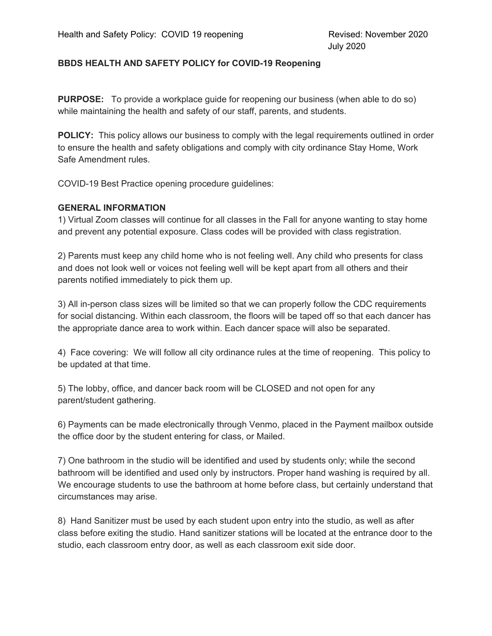#### **BBDS HEALTH AND SAFETY POLICY for COVID-19 Reopening**

**PURPOSE:** To provide a workplace guide for reopening our business (when able to do so) while maintaining the health and safety of our staff, parents, and students.

**POLICY:** This policy allows our business to comply with the legal requirements outlined in order to ensure the health and safety obligations and comply with city ordinance Stay Home, Work Safe Amendment rules.

COVID-19 Best Practice opening procedure guidelines:

## **GENERAL INFORMATION**

1) Virtual Zoom classes will continue for all classes in the Fall for anyone wanting to stay home and prevent any potential exposure. Class codes will be provided with class registration.

2) Parents must keep any child home who is not feeling well. Any child who presents for class and does not look well or voices not feeling well will be kept apart from all others and their parents notified immediately to pick them up.

3) All in-person class sizes will be limited so that we can properly follow the CDC requirements for social distancing. Within each classroom, the floors will be taped off so that each dancer has the appropriate dance area to work within. Each dancer space will also be separated.

4) Face covering: We will follow all city ordinance rules at the time of reopening. This policy to be updated at that time.

5) The lobby, office, and dancer back room will be CLOSED and not open for any parent/student gathering.

6) Payments can be made electronically through Venmo, placed in the Payment mailbox outside the office door by the student entering for class, or Mailed.

7) One bathroom in the studio will be identified and used by students only; while the second bathroom will be identified and used only by instructors. Proper hand washing is required by all. We encourage students to use the bathroom at home before class, but certainly understand that circumstances may arise.

8) Hand Sanitizer must be used by each student upon entry into the studio, as well as after class before exiting the studio. Hand sanitizer stations will be located at the entrance door to the studio, each classroom entry door, as well as each classroom exit side door.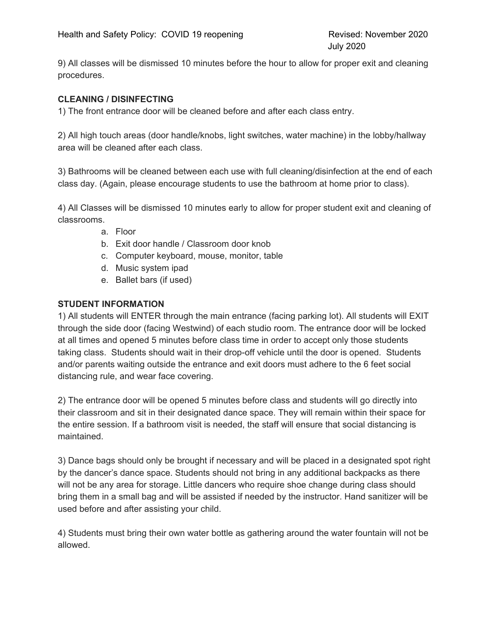9) All classes will be dismissed 10 minutes before the hour to allow for proper exit and cleaning procedures.

## **CLEANING / DISINFECTING**

1) The front entrance door will be cleaned before and after each class entry.

2) All high touch areas (door handle/knobs, light switches, water machine) in the lobby/hallway area will be cleaned after each class.

3) Bathrooms will be cleaned between each use with full cleaning/disinfection at the end of each class day. (Again, please encourage students to use the bathroom at home prior to class).

4) All Classes will be dismissed 10 minutes early to allow for proper student exit and cleaning of classrooms.

- a. Floor
- b. Exit door handle / Classroom door knob
- c. Computer keyboard, mouse, monitor, table
- d. Music system ipad
- e. Ballet bars (if used)

#### **STUDENT INFORMATION**

1) All students will ENTER through the main entrance (facing parking lot). All students will EXIT through the side door (facing Westwind) of each studio room. The entrance door will be locked at all times and opened 5 minutes before class time in order to accept only those students taking class. Students should wait in their drop-off vehicle until the door is opened. Students and/or parents waiting outside the entrance and exit doors must adhere to the 6 feet social distancing rule, and wear face covering.

2) The entrance door will be opened 5 minutes before class and students will go directly into their classroom and sit in their designated dance space. They will remain within their space for the entire session. If a bathroom visit is needed, the staff will ensure that social distancing is maintained.

3) Dance bags should only be brought if necessary and will be placed in a designated spot right by the dancer's dance space. Students should not bring in any additional backpacks as there will not be any area for storage. Little dancers who require shoe change during class should bring them in a small bag and will be assisted if needed by the instructor. Hand sanitizer will be used before and after assisting your child.

4) Students must bring their own water bottle as gathering around the water fountain will not be allowed.